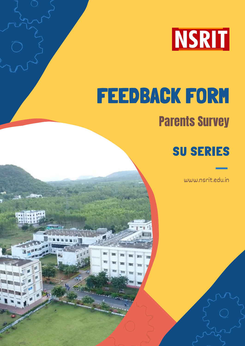

# FEEDBACK FORM Parents Survey

**W** 

m ٠

m

m

m

m

## SU SERIES

www.nsrit.edu.in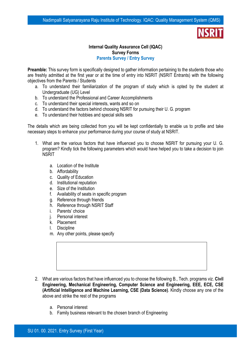#### **Internal Quality Assurance Cell (IQAC) Survey Forms Parents Survey / Entry Survey**

**Preamble:** This survey form is specifically designed to gather information pertaining to the students those who are freshly admitted at the first year or at the time of entry into NSRIT (NSRIT Entrants) with the following objectives from the Parents / Students

- a. To understand their familiarization of the program of study which is opted by the student at Undergraduate (UG) Level
- b. To understand the Professional and Career Accomplishments
- c. To understand their special interests, wants and so on
- d. To understand the factors behind choosing NSRIT for pursuing their U. G. program
- e. To understand their hobbies and special skills sets

The details which are being collected from you will be kept confidentially to enable us to profile and take necessary steps to enhance your performance during your course of study at NSRIT.

- 1. What are the various factors that have influenced you to choose NSRIT for pursuing your U. G. program? Kindly tick the following parameters which would have helped you to take a decision to join **NSRIT** 
	- a. Location of the Institute
	- b. Affordability
	- c. Quality of Education
	- d. Institutional reputation
	- e. Size of the Institution
	- f. Availability of seats in specific program
	- g. Reference through friends
	- h. Reference through NSRIT Staff
	- i. Parents' choice
	- j. Personal interest
	- k. Placement
	- l. Discipline
	- m. Any other points, please specify

- 2. What are various factors that have influenced you to choose the following B., Tech. programs viz. **Civil Engineering, Mechanical Engineering, Computer Science and Engineering, EEE, ECE, CSE (Artificial Intelligence and Machine Learning, CSE (Data Science)**. Kindly choose any one of the above and strike the rest of the programs
	- a. Personal interest
	- b. Family business relevant to the chosen branch of Engineering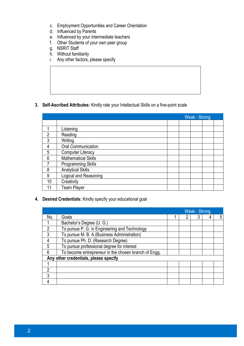- c. Employment Opportunities and Career Orientation
- d. Influenced by Parents
- e. Influenced by your intermediate teachers
- f. Other Students of your own peer group
- g. NSRIT Staff
- h. Without familiarity
- i. Any other factors, please specify

### **3. Self-Ascribed Attributes:** Kindly rate your Intellectual Skills on a five-point scale

|                 | Weak - Strong              |  |  |  |  |
|-----------------|----------------------------|--|--|--|--|
|                 |                            |  |  |  |  |
|                 | Listening                  |  |  |  |  |
| 2               | Reading                    |  |  |  |  |
| 3               | Writing                    |  |  |  |  |
| 4               | <b>Oral Communication</b>  |  |  |  |  |
| 5               | <b>Computer Literacy</b>   |  |  |  |  |
| $6\phantom{1}6$ | <b>Mathematical Skills</b> |  |  |  |  |
|                 | <b>Programming Skills</b>  |  |  |  |  |
| 8               | <b>Analytical Skills</b>   |  |  |  |  |
| 9               | Logical and Reasoning      |  |  |  |  |
| 10              | Creativity                 |  |  |  |  |
|                 | <b>Team Player</b>         |  |  |  |  |

**4. Desired Credentials:** Kindly specify your educational goal

|                                       |                                                      | <b>Weak - Strong</b> |  |  |   |   |
|---------------------------------------|------------------------------------------------------|----------------------|--|--|---|---|
| No.                                   | Goals                                                |                      |  |  | 4 | 5 |
|                                       | Bachelor's Degree (U. G.)                            |                      |  |  |   |   |
| っ                                     | To pursue P. G. in Engineering and Technology        |                      |  |  |   |   |
| 3                                     | To pursue M. B. A (Business Administration)          |                      |  |  |   |   |
|                                       | To pursue Ph. D. (Research Degree)                   |                      |  |  |   |   |
| 5                                     | To pursue professional degree for interest           |                      |  |  |   |   |
| 6                                     | To become entrepreneur in the chosen branch of Engg. |                      |  |  |   |   |
| Any other credentials, please specify |                                                      |                      |  |  |   |   |
|                                       |                                                      |                      |  |  |   |   |
| 2                                     |                                                      |                      |  |  |   |   |
| 3                                     |                                                      |                      |  |  |   |   |
|                                       |                                                      |                      |  |  |   |   |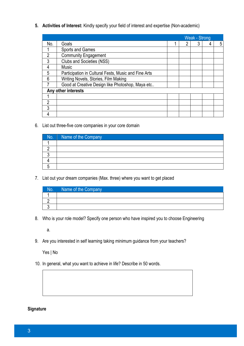**5. Activities of Interest:** Kindly specify your field of interest and expertise (Non-academic)

|                     |                                                      | Weak - Strong |                |  |  |   |
|---------------------|------------------------------------------------------|---------------|----------------|--|--|---|
| No.                 | Goals                                                |               | $\overline{2}$ |  |  | 5 |
|                     | Sports and Games                                     |               |                |  |  |   |
| っ                   | <b>Community Engagement</b>                          |               |                |  |  |   |
| 3                   | <b>Clubs and Societies (NSS)</b>                     |               |                |  |  |   |
| 4                   | <b>Music</b>                                         |               |                |  |  |   |
| 5                   | Participation in Cultural Fests, Music and Fine Arts |               |                |  |  |   |
| 6                   | Writing Novels, Stories, Film Making                 |               |                |  |  |   |
|                     | Good at Creative Design like Photoshop, Maya etc     |               |                |  |  |   |
| Any other interests |                                                      |               |                |  |  |   |
|                     |                                                      |               |                |  |  |   |
| າ                   |                                                      |               |                |  |  |   |
| 3                   |                                                      |               |                |  |  |   |
|                     |                                                      |               |                |  |  |   |

6. List out three-five core companies in your core domain

| $N$ o. | Name of the Company |
|--------|---------------------|
|        |                     |
|        |                     |
|        |                     |
|        |                     |
|        |                     |

7. List out your dream companies (Max. three) where you want to get placed

| No. | Name of the Company |
|-----|---------------------|
|     |                     |
|     |                     |
|     |                     |

8. Who is your role model? Specify one person who have inspired you to choose Engineering

a.

9. Are you interested in self learning taking minimum guidance from your teachers?

Yes | No

10. In general, what you want to achieve in life? Describe in 50 words.

### **Signature**